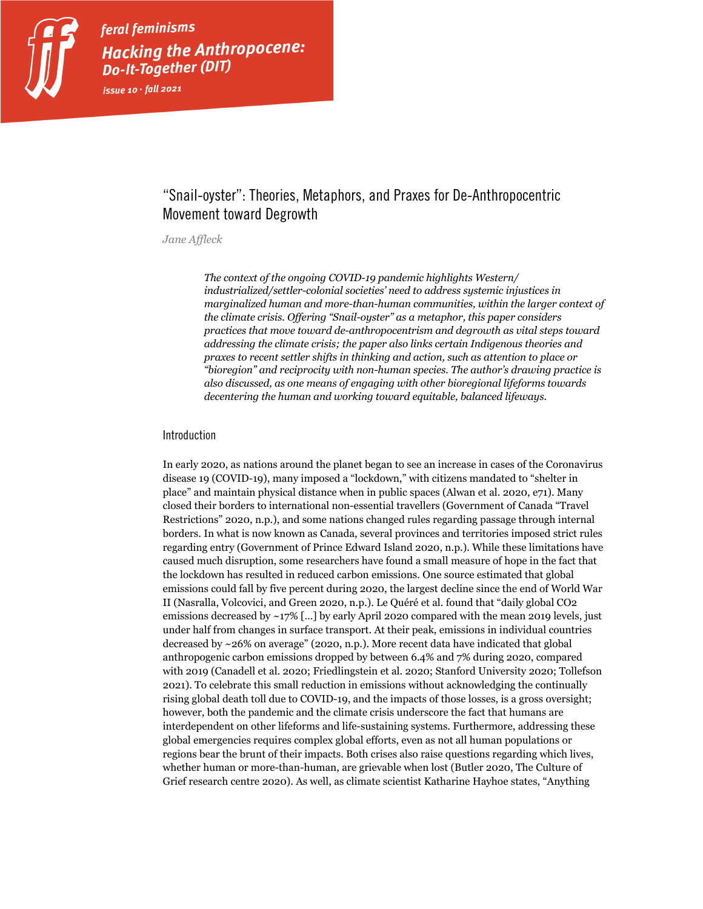

feral feminisms Hacking the Anthropocene: **Do-It-Together (DIT)** issue 10  $\cdot$  fall 2021

## "Snail-oyster": Theories, Metaphors, and Praxes for De-Anthropocentric Movement toward Degrowth

#### *Jane Affleck*

*The context of the ongoing COVID-19 pandemic highlights Western/ industrialized/settler-colonial societies' need to address systemic injustices in marginalized human and more-than-human communities, within the larger context of the climate crisis. Offering "Snail-oyster" as a metaphor, this paper considers practices that move toward de-anthropocentrism and degrowth as vital steps toward addressing the climate crisis; the paper also links certain Indigenous theories and praxes to recent settler shifts in thinking and action, such as attention to place or "bioregion" and reciprocity with non-human species. The author's drawing practice is also discussed, as one means of engaging with other bioregional lifeforms towards decentering the human and working toward equitable, balanced lifeways.* 

#### Introduction

In early 2020, as nations around the planet began to see an increase in cases of the Coronavirus disease 19 (COVID-19), many imposed a "lockdown," with citizens mandated to "shelter in place" and maintain physical distance when in public spaces (Alwan et al. 2020, e71). Many closed their borders to international non-essential travellers (Government of Canada "Travel Restrictions" 2020, n.p.), and some nations changed rules regarding passage through internal borders. In what is now known as Canada, several provinces and territories imposed strict rules regarding entry (Government of Prince Edward Island 2020, n.p.). While these limitations have caused much disruption, some researchers have found a small measure of hope in the fact that the lockdown has resulted in reduced carbon emissions. One source estimated that global emissions could fall by five percent during 2020, the largest decline since the end of World War II (Nasralla, Volcovici, and Green 2020, n.p.). Le Quéré et al. found that "daily global CO2 emissions decreased by ~17% [...] by early April 2020 compared with the mean 2019 levels, just under half from changes in surface transport. At their peak, emissions in individual countries decreased by ~26% on average" (2020, n.p.). More recent data have indicated that global anthropogenic carbon emissions dropped by between 6.4% and 7% during 2020, compared with 2019 (Canadell et al. 2020; Friedlingstein et al. 2020; Stanford University 2020; Tollefson 2021). To celebrate this small reduction in emissions without acknowledging the continually rising global death toll due to COVID-19, and the impacts of those losses, is a gross oversight; however, both the pandemic and the climate crisis underscore the fact that humans are interdependent on other lifeforms and life-sustaining systems. Furthermore, addressing these global emergencies requires complex global efforts, even as not all human populations or regions bear the brunt of their impacts. Both crises also raise questions regarding which lives, whether human or more-than-human, are grievable when lost (Butler 2020, The Culture of Grief research centre 2020). As well, as climate scientist Katharine Hayhoe states, "Anything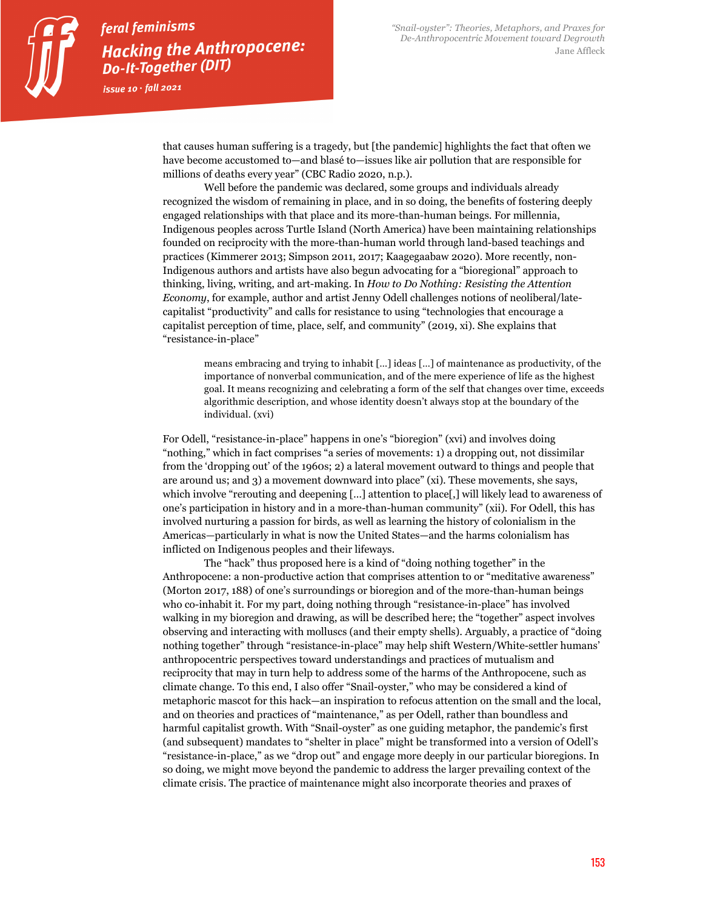that causes human suffering is a tragedy, but [the pandemic] highlights the fact that often we have become accustomed to—and blasé to—issues like air pollution that are responsible for millions of deaths every year" (CBC Radio 2020, n.p.).

Well before the pandemic was declared, some groups and individuals already recognized the wisdom of remaining in place, and in so doing, the benefits of fostering deeply engaged relationships with that place and its more-than-human beings. For millennia, Indigenous peoples across Turtle Island (North America) have been maintaining relationships founded on reciprocity with the more-than-human world through land-based teachings and practices (Kimmerer 2013; Simpson 2011, 2017; Kaagegaabaw 2020). More recently, non-Indigenous authors and artists have also begun advocating for a "bioregional" approach to thinking, living, writing, and art-making. In *How to Do Nothing: Resisting the Attention Economy*, for example, author and artist Jenny Odell challenges notions of neoliberal/latecapitalist "productivity" and calls for resistance to using "technologies that encourage a capitalist perception of time, place, self, and community" (2019, xi). She explains that "resistance-in-place"

means embracing and trying to inhabit […] ideas […] of maintenance as productivity, of the importance of nonverbal communication, and of the mere experience of life as the highest goal. It means recognizing and celebrating a form of the self that changes over time, exceeds algorithmic description, and whose identity doesn't always stop at the boundary of the individual. (xvi)

For Odell, "resistance-in-place" happens in one's "bioregion" (xvi) and involves doing "nothing," which in fact comprises "a series of movements: 1) a dropping out, not dissimilar from the 'dropping out' of the 1960s; 2) a lateral movement outward to things and people that are around us; and 3) a movement downward into place" (xi). These movements, she says, which involve "rerouting and deepening [...] attention to place[,] will likely lead to awareness of one's participation in history and in a more-than-human community" (xii). For Odell, this has involved nurturing a passion for birds, as well as learning the history of colonialism in the Americas—particularly in what is now the United States—and the harms colonialism has inflicted on Indigenous peoples and their lifeways.

The "hack" thus proposed here is a kind of "doing nothing together" in the Anthropocene: a non-productive action that comprises attention to or "meditative awareness" (Morton 2017, 188) of one's surroundings or bioregion and of the more-than-human beings who co-inhabit it. For my part, doing nothing through "resistance-in-place" has involved walking in my bioregion and drawing, as will be described here; the "together" aspect involves observing and interacting with molluscs (and their empty shells). Arguably, a practice of "doing nothing together" through "resistance-in-place" may help shift Western/White-settler humans' anthropocentric perspectives toward understandings and practices of mutualism and reciprocity that may in turn help to address some of the harms of the Anthropocene, such as climate change. To this end, I also offer "Snail-oyster," who may be considered a kind of metaphoric mascot for this hack—an inspiration to refocus attention on the small and the local, and on theories and practices of "maintenance," as per Odell, rather than boundless and harmful capitalist growth. With "Snail-oyster" as one guiding metaphor, the pandemic's first (and subsequent) mandates to "shelter in place" might be transformed into a version of Odell's "resistance-in-place," as we "drop out" and engage more deeply in our particular bioregions. In so doing, we might move beyond the pandemic to address the larger prevailing context of the climate crisis. The practice of maintenance might also incorporate theories and praxes of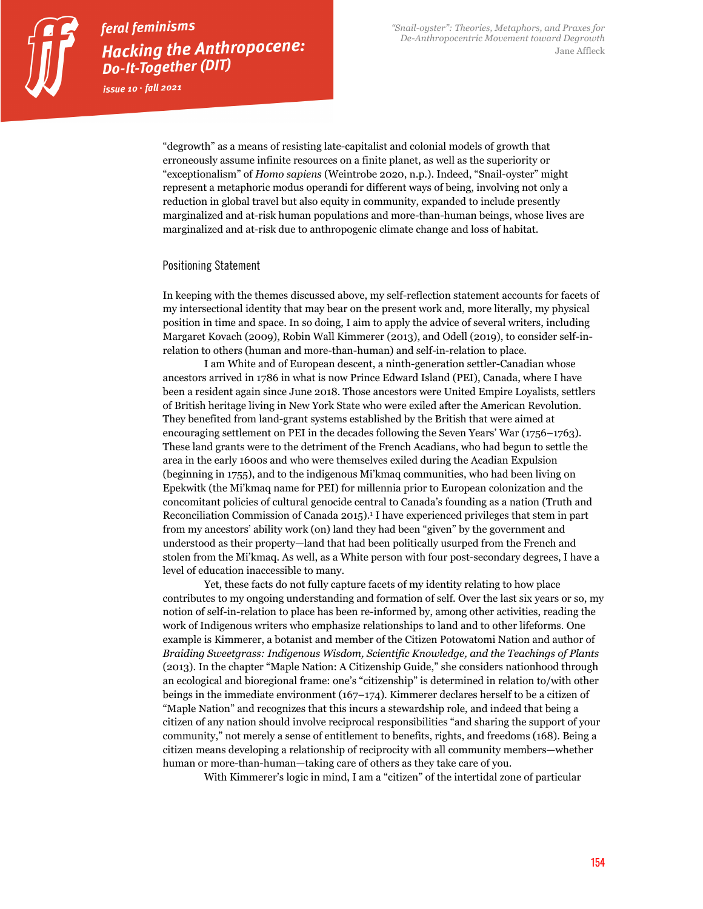

issue  $10 \cdot \text{fall}$  2021

"degrowth" as a means of resisting late-capitalist and colonial models of growth that erroneously assume infinite resources on a finite planet, as well as the superiority or "exceptionalism" of *Homo sapiens* (Weintrobe 2020, n.p.). Indeed, "Snail-oyster" might represent a metaphoric modus operandi for different ways of being, involving not only a reduction in global travel but also equity in community, expanded to include presently marginalized and at-risk human populations and more-than-human beings, whose lives are marginalized and at-risk due to anthropogenic climate change and loss of habitat.

#### Positioning Statement

In keeping with the themes discussed above, my self-reflection statement accounts for facets of my intersectional identity that may bear on the present work and, more literally, my physical position in time and space. In so doing, I aim to apply the advice of several writers, including Margaret Kovach (2009), Robin Wall Kimmerer (2013), and Odell (2019), to consider self-inrelation to others (human and more-than-human) and self-in-relation to place.

I am White and of European descent, a ninth-generation settler-Canadian whose ancestors arrived in 1786 in what is now Prince Edward Island (PEI), Canada, where I have been a resident again since June 2018. Those ancestors were United Empire Loyalists, settlers of British heritage living in New York State who were exiled after the American Revolution. They benefited from land-grant systems established by the British that were aimed at encouraging settlement on PEI in the decades following the Seven Years' War (1756–1763). These land grants were to the detriment of the French Acadians, who had begun to settle the area in the early 1600s and who were themselves exiled during the Acadian Expulsion (beginning in 1755), and to the indigenous Mi'kmaq communities, who had been living on Epekwitk (the Mi'kmaq name for PEI) for millennia prior to European colonization and the concomitant policies of cultural genocide central to Canada's founding as a nation (Truth and Reconciliation Commission of Canada 2015).1 I have experienced privileges that stem in part from my ancestors' ability work (on) land they had been "given" by the government and understood as their property—land that had been politically usurped from the French and stolen from the Mi'kmaq. As well, as a White person with four post-secondary degrees, I have a level of education inaccessible to many.

Yet, these facts do not fully capture facets of my identity relating to how place contributes to my ongoing understanding and formation of self. Over the last six years or so, my notion of self-in-relation to place has been re-informed by, among other activities, reading the work of Indigenous writers who emphasize relationships to land and to other lifeforms. One example is Kimmerer, a botanist and member of the Citizen Potowatomi Nation and author of *Braiding Sweetgrass: Indigenous Wisdom, Scientific Knowledge, and the Teachings of Plants* (2013). In the chapter "Maple Nation: A Citizenship Guide," she considers nationhood through an ecological and bioregional frame: one's "citizenship" is determined in relation to/with other beings in the immediate environment (167–174). Kimmerer declares herself to be a citizen of "Maple Nation" and recognizes that this incurs a stewardship role, and indeed that being a citizen of any nation should involve reciprocal responsibilities "and sharing the support of your community," not merely a sense of entitlement to benefits, rights, and freedoms (168). Being a citizen means developing a relationship of reciprocity with all community members—whether human or more-than-human—taking care of others as they take care of you.

With Kimmerer's logic in mind, I am a "citizen" of the intertidal zone of particular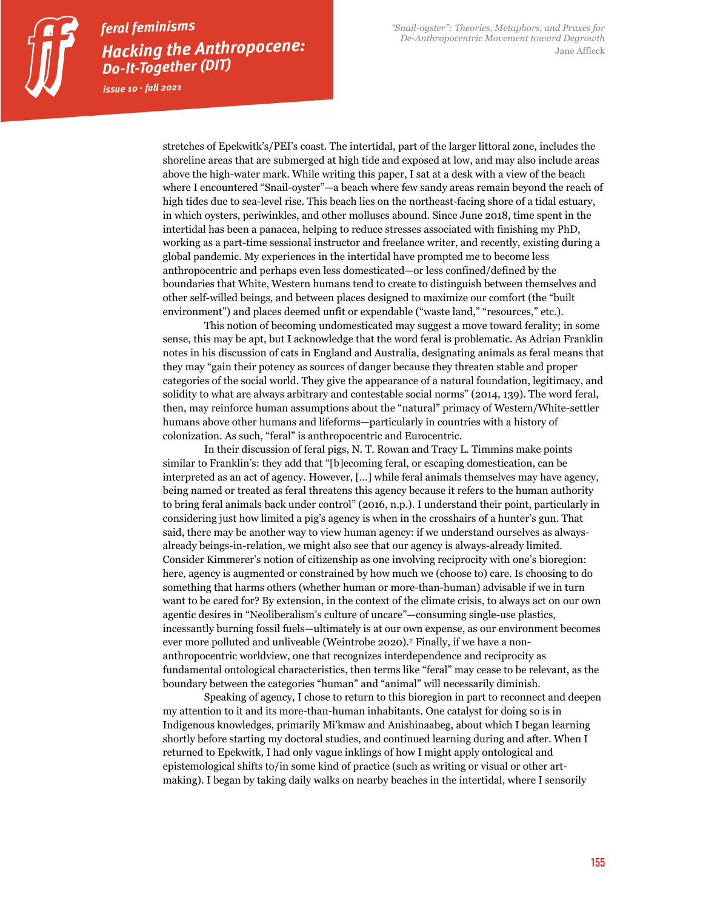issue  $10 \cdot \text{fall}$  2021

stretches of Epekwitk's/PEI's coast. The intertidal, part of the larger littoral zone, includes the shoreline areas that are submerged at high tide and exposed at low, and may also include areas above the high-water mark. While writing this paper, I sat at a desk with a view of the beach where I encountered "Snail-oyster"—a beach where few sandy areas remain beyond the reach of high tides due to sea-level rise. This beach lies on the northeast-facing shore of a tidal estuary, in which oysters, periwinkles, and other molluscs abound. Since June 2018, time spent in the intertidal has been a panacea, helping to reduce stresses associated with finishing my PhD, working as a part-time sessional instructor and freelance writer, and recently, existing during a global pandemic. My experiences in the intertidal have prompted me to become less anthropocentric and perhaps even less domesticated—or less confined/defined by the boundaries that White, Western humans tend to create to distinguish between themselves and other self-willed beings, and between places designed to maximize our comfort (the "built environment") and places deemed unfit or expendable ("waste land," "resources," etc.).

This notion of becoming undomesticated may suggest a move toward ferality; in some sense, this may be apt, but I acknowledge that the word feral is problematic. As Adrian Franklin notes in his discussion of cats in England and Australia, designating animals as feral means that they may "gain their potency as sources of danger because they threaten stable and proper categories of the social world. They give the appearance of a natural foundation, legitimacy, and solidity to what are always arbitrary and contestable social norms" (2014, 139). The word feral, then, may reinforce human assumptions about the "natural" primacy of Western/White-settler humans above other humans and lifeforms—particularly in countries with a history of colonization. As such, "feral" is anthropocentric and Eurocentric.

In their discussion of feral pigs, N. T. Rowan and Tracy L. Timmins make points similar to Franklin's: they add that "[b]ecoming feral, or escaping domestication, can be interpreted as an act of agency. However, […] while feral animals themselves may have agency, being named or treated as feral threatens this agency because it refers to the human authority to bring feral animals back under control" (2016, n.p.). I understand their point, particularly in considering just how limited a pig's agency is when in the crosshairs of a hunter's gun. That said, there may be another way to view human agency: if we understand ourselves as alwaysalready beings-in-relation, we might also see that our agency is always-already limited. Consider Kimmerer's notion of citizenship as one involving reciprocity with one's bioregion: here, agency is augmented or constrained by how much we (choose to) care. Is choosing to do something that harms others (whether human or more-than-human) advisable if we in turn want to be cared for? By extension, in the context of the climate crisis, to always act on our own agentic desires in "Neoliberalism's culture of uncare"—consuming single-use plastics, incessantly burning fossil fuels—ultimately is at our own expense, as our environment becomes ever more polluted and unliveable (Weintrobe 2020). <sup>2</sup> Finally, if we have a nonanthropocentric worldview, one that recognizes interdependence and reciprocity as fundamental ontological characteristics, then terms like "feral" may cease to be relevant, as the boundary between the categories "human" and "animal" will necessarily diminish.

Speaking of agency, I chose to return to this bioregion in part to reconnect and deepen my attention to it and its more-than-human inhabitants. One catalyst for doing so is in Indigenous knowledges, primarily Mi'kmaw and Anishinaabeg, about which I began learning shortly before starting my doctoral studies, and continued learning during and after. When I returned to Epekwitk, I had only vague inklings of how I might apply ontological and epistemological shifts to/in some kind of practice (such as writing or visual or other artmaking). I began by taking daily walks on nearby beaches in the intertidal, where I sensorily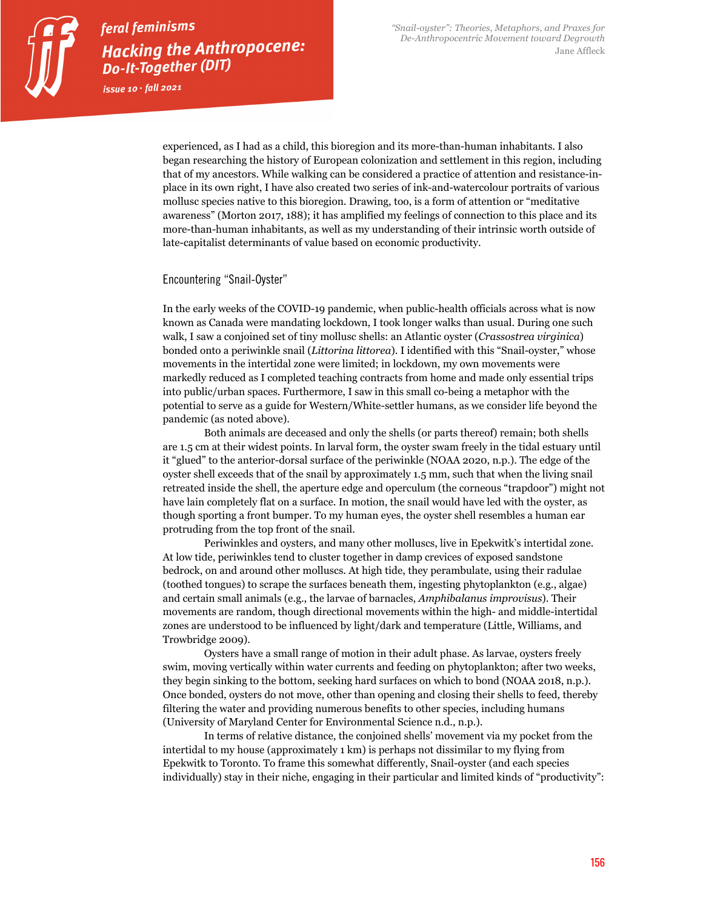issue  $10 \cdot \text{fall}$  2021

experienced, as I had as a child, this bioregion and its more-than-human inhabitants. I also began researching the history of European colonization and settlement in this region, including that of my ancestors. While walking can be considered a practice of attention and resistance-inplace in its own right, I have also created two series of ink-and-watercolour portraits of various mollusc species native to this bioregion. Drawing, too, is a form of attention or "meditative awareness" (Morton 2017, 188); it has amplified my feelings of connection to this place and its more-than-human inhabitants, as well as my understanding of their intrinsic worth outside of late-capitalist determinants of value based on economic productivity.

### Encountering "Snail-Oyster"

In the early weeks of the COVID-19 pandemic, when public-health officials across what is now known as Canada were mandating lockdown, I took longer walks than usual. During one such walk, I saw a conjoined set of tiny mollusc shells: an Atlantic oyster (*Crassostrea virginica*) bonded onto a periwinkle snail (*Littorina littorea*). I identified with this "Snail-oyster," whose movements in the intertidal zone were limited; in lockdown, my own movements were markedly reduced as I completed teaching contracts from home and made only essential trips into public/urban spaces. Furthermore, I saw in this small co-being a metaphor with the potential to serve as a guide for Western/White-settler humans, as we consider life beyond the pandemic (as noted above).

Both animals are deceased and only the shells (or parts thereof) remain; both shells are 1.5 cm at their widest points. In larval form, the oyster swam freely in the tidal estuary until it "glued" to the anterior-dorsal surface of the periwinkle (NOAA 2020, n.p.). The edge of the oyster shell exceeds that of the snail by approximately 1.5 mm, such that when the living snail retreated inside the shell, the aperture edge and operculum (the corneous "trapdoor") might not have lain completely flat on a surface. In motion, the snail would have led with the oyster, as though sporting a front bumper. To my human eyes, the oyster shell resembles a human ear protruding from the top front of the snail.

Periwinkles and oysters, and many other molluscs, live in Epekwitk's intertidal zone. At low tide, periwinkles tend to cluster together in damp crevices of exposed sandstone bedrock, on and around other molluscs. At high tide, they perambulate, using their radulae (toothed tongues) to scrape the surfaces beneath them, ingesting phytoplankton (e.g., algae) and certain small animals (e.g., the larvae of barnacles, *Amphibalanus improvisus*). Their movements are random, though directional movements within the high- and middle-intertidal zones are understood to be influenced by light/dark and temperature (Little, Williams, and Trowbridge 2009).

Oysters have a small range of motion in their adult phase. As larvae, oysters freely swim, moving vertically within water currents and feeding on phytoplankton; after two weeks, they begin sinking to the bottom, seeking hard surfaces on which to bond (NOAA 2018, n.p.). Once bonded, oysters do not move, other than opening and closing their shells to feed, thereby filtering the water and providing numerous benefits to other species, including humans (University of Maryland Center for Environmental Science n.d., n.p.).

In terms of relative distance, the conjoined shells' movement via my pocket from the intertidal to my house (approximately 1 km) is perhaps not dissimilar to my flying from Epekwitk to Toronto. To frame this somewhat differently, Snail-oyster (and each species individually) stay in their niche, engaging in their particular and limited kinds of "productivity":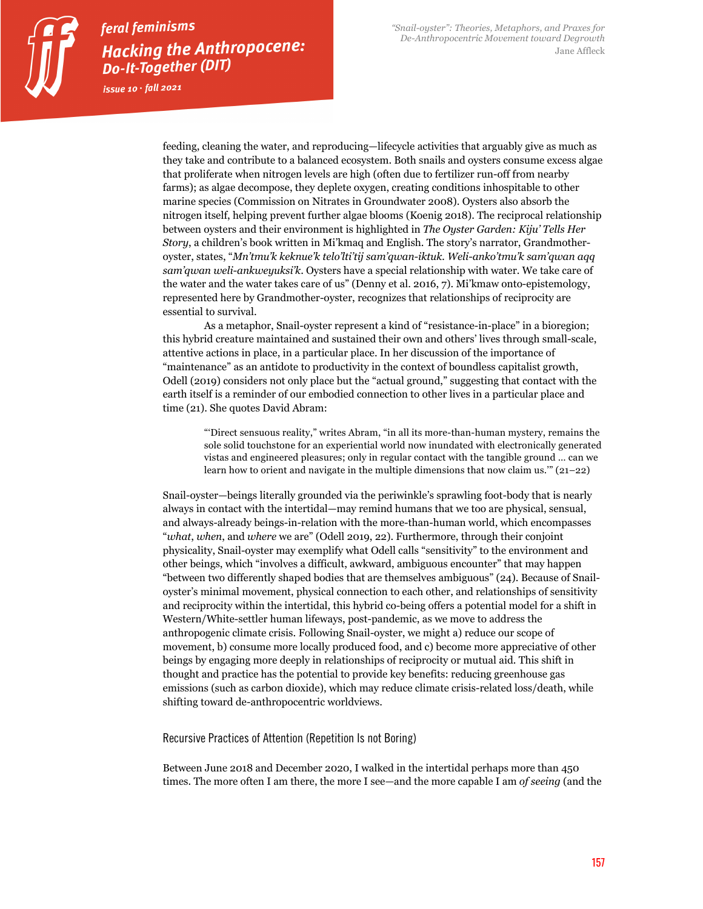feeding, cleaning the water, and reproducing—lifecycle activities that arguably give as much as they take and contribute to a balanced ecosystem. Both snails and oysters consume excess algae that proliferate when nitrogen levels are high (often due to fertilizer run-off from nearby farms); as algae decompose, they deplete oxygen, creating conditions inhospitable to other marine species (Commission on Nitrates in Groundwater 2008). Oysters also absorb the nitrogen itself, helping prevent further algae blooms (Koenig 2018). The reciprocal relationship between oysters and their environment is highlighted in *The Oyster Garden: Kiju' Tells Her Story*, a children's book written in Mi'kmaq and English. The story's narrator, Grandmotheroyster, states, "*Mn'tmu'k keknue'k telo'lti'tij sam'qwan-iktuk. Weli-anko'tmu'k sam'qwan aqq sam'qwan weli-ankweyuksi'k*. Oysters have a special relationship with water. We take care of the water and the water takes care of us" (Denny et al. 2016, 7). Mi'kmaw onto-epistemology, represented here by Grandmother-oyster, recognizes that relationships of reciprocity are essential to survival.

As a metaphor, Snail-oyster represent a kind of "resistance-in-place" in a bioregion; this hybrid creature maintained and sustained their own and others' lives through small-scale, attentive actions in place, in a particular place. In her discussion of the importance of "maintenance" as an antidote to productivity in the context of boundless capitalist growth, Odell (2019) considers not only place but the "actual ground," suggesting that contact with the earth itself is a reminder of our embodied connection to other lives in a particular place and time (21). She quotes David Abram:

"'Direct sensuous reality," writes Abram, "in all its more-than-human mystery, remains the sole solid touchstone for an experiential world now inundated with electronically generated vistas and engineered pleasures; only in regular contact with the tangible ground … can we learn how to orient and navigate in the multiple dimensions that now claim us.'" (21–22)

Snail-oyster—beings literally grounded via the periwinkle's sprawling foot-body that is nearly always in contact with the intertidal—may remind humans that we too are physical, sensual, and always-already beings-in-relation with the more-than-human world, which encompasses "*what*, *when*, and *where* we are" (Odell 2019, 22). Furthermore, through their conjoint physicality, Snail-oyster may exemplify what Odell calls "sensitivity" to the environment and other beings, which "involves a difficult, awkward, ambiguous encounter" that may happen "between two differently shaped bodies that are themselves ambiguous" (24). Because of Snailoyster's minimal movement, physical connection to each other, and relationships of sensitivity and reciprocity within the intertidal, this hybrid co-being offers a potential model for a shift in Western/White-settler human lifeways, post-pandemic, as we move to address the anthropogenic climate crisis. Following Snail-oyster, we might a) reduce our scope of movement, b) consume more locally produced food, and c) become more appreciative of other beings by engaging more deeply in relationships of reciprocity or mutual aid. This shift in thought and practice has the potential to provide key benefits: reducing greenhouse gas emissions (such as carbon dioxide), which may reduce climate crisis-related loss/death, while shifting toward de-anthropocentric worldviews.

Recursive Practices of Attention (Repetition Is not Boring)

Between June 2018 and December 2020, I walked in the intertidal perhaps more than 450 times. The more often I am there, the more I see—and the more capable I am *of seeing* (and the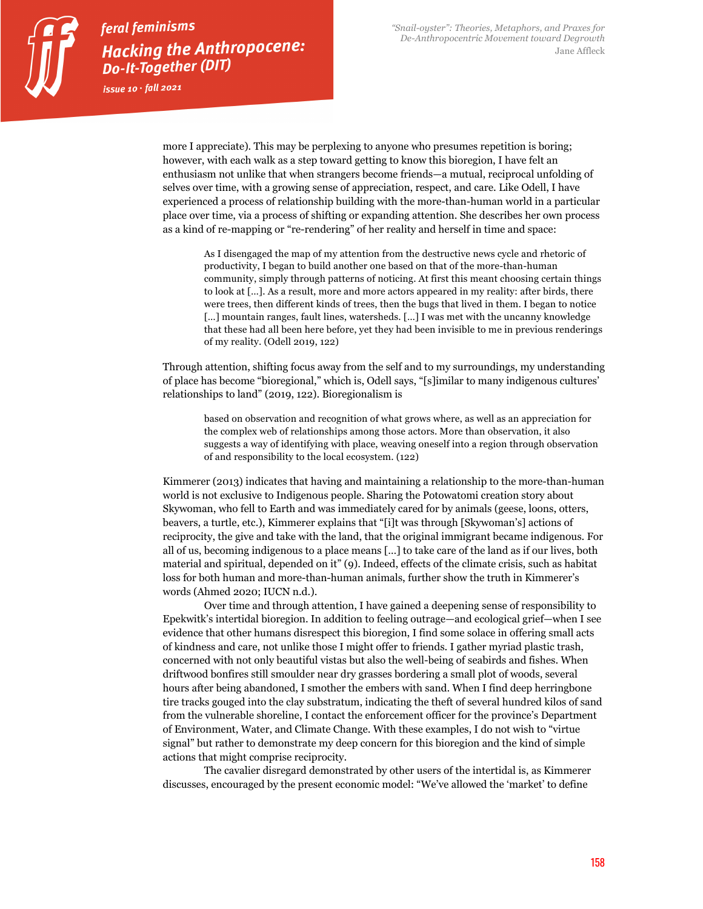issue  $10 \cdot \text{fall}$  2021

more I appreciate). This may be perplexing to anyone who presumes repetition is boring; however, with each walk as a step toward getting to know this bioregion, I have felt an enthusiasm not unlike that when strangers become friends—a mutual, reciprocal unfolding of selves over time, with a growing sense of appreciation, respect, and care. Like Odell, I have experienced a process of relationship building with the more-than-human world in a particular place over time, via a process of shifting or expanding attention. She describes her own process as a kind of re-mapping or "re-rendering" of her reality and herself in time and space:

As I disengaged the map of my attention from the destructive news cycle and rhetoric of productivity, I began to build another one based on that of the more-than-human community, simply through patterns of noticing. At first this meant choosing certain things to look at […]. As a result, more and more actors appeared in my reality: after birds, there were trees, then different kinds of trees, then the bugs that lived in them. I began to notice […] mountain ranges, fault lines, watersheds. […] I was met with the uncanny knowledge that these had all been here before, yet they had been invisible to me in previous renderings of my reality. (Odell 2019, 122)

Through attention, shifting focus away from the self and to my surroundings, my understanding of place has become "bioregional," which is, Odell says, "[s]imilar to many indigenous cultures' relationships to land" (2019, 122). Bioregionalism is

based on observation and recognition of what grows where, as well as an appreciation for the complex web of relationships among those actors. More than observation, it also suggests a way of identifying with place, weaving oneself into a region through observation of and responsibility to the local ecosystem. (122)

Kimmerer (2013) indicates that having and maintaining a relationship to the more-than-human world is not exclusive to Indigenous people. Sharing the Potowatomi creation story about Skywoman, who fell to Earth and was immediately cared for by animals (geese, loons, otters, beavers, a turtle, etc.), Kimmerer explains that "[i]t was through [Skywoman's] actions of reciprocity, the give and take with the land, that the original immigrant became indigenous. For all of us, becoming indigenous to a place means […] to take care of the land as if our lives, both material and spiritual, depended on it" (9). Indeed, effects of the climate crisis, such as habitat loss for both human and more-than-human animals, further show the truth in Kimmerer's words (Ahmed 2020; IUCN n.d.).

Over time and through attention, I have gained a deepening sense of responsibility to Epekwitk's intertidal bioregion. In addition to feeling outrage—and ecological grief—when I see evidence that other humans disrespect this bioregion, I find some solace in offering small acts of kindness and care, not unlike those I might offer to friends. I gather myriad plastic trash, concerned with not only beautiful vistas but also the well-being of seabirds and fishes. When driftwood bonfires still smoulder near dry grasses bordering a small plot of woods, several hours after being abandoned, I smother the embers with sand. When I find deep herringbone tire tracks gouged into the clay substratum, indicating the theft of several hundred kilos of sand from the vulnerable shoreline, I contact the enforcement officer for the province's Department of Environment, Water, and Climate Change. With these examples, I do not wish to "virtue signal" but rather to demonstrate my deep concern for this bioregion and the kind of simple actions that might comprise reciprocity.

The cavalier disregard demonstrated by other users of the intertidal is, as Kimmerer discusses, encouraged by the present economic model: "We've allowed the 'market' to define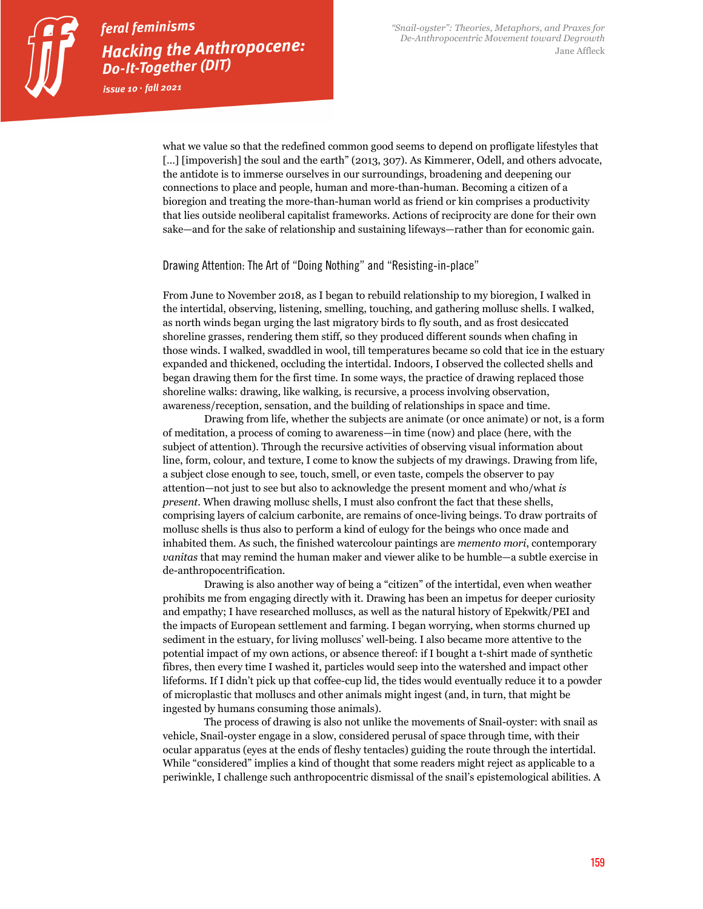what we value so that the redefined common good seems to depend on profligate lifestyles that [...] [impoverish] the soul and the earth" (2013, 307). As Kimmerer, Odell, and others advocate, the antidote is to immerse ourselves in our surroundings, broadening and deepening our connections to place and people, human and more-than-human. Becoming a citizen of a bioregion and treating the more-than-human world as friend or kin comprises a productivity that lies outside neoliberal capitalist frameworks. Actions of reciprocity are done for their own sake—and for the sake of relationship and sustaining lifeways—rather than for economic gain.

### Drawing Attention: The Art of "Doing Nothing" and "Resisting-in-place"

From June to November 2018, as I began to rebuild relationship to my bioregion, I walked in the intertidal, observing, listening, smelling, touching, and gathering mollusc shells. I walked, as north winds began urging the last migratory birds to fly south, and as frost desiccated shoreline grasses, rendering them stiff, so they produced different sounds when chafing in those winds. I walked, swaddled in wool, till temperatures became so cold that ice in the estuary expanded and thickened, occluding the intertidal. Indoors, I observed the collected shells and began drawing them for the first time. In some ways, the practice of drawing replaced those shoreline walks: drawing, like walking, is recursive, a process involving observation, awareness/reception, sensation, and the building of relationships in space and time.

Drawing from life, whether the subjects are animate (or once animate) or not, is a form of meditation, a process of coming to awareness—in time (now) and place (here, with the subject of attention). Through the recursive activities of observing visual information about line, form, colour, and texture, I come to know the subjects of my drawings. Drawing from life, a subject close enough to see, touch, smell, or even taste, compels the observer to pay attention—not just to see but also to acknowledge the present moment and who/what *is present*. When drawing mollusc shells, I must also confront the fact that these shells, comprising layers of calcium carbonite, are remains of once-living beings. To draw portraits of mollusc shells is thus also to perform a kind of eulogy for the beings who once made and inhabited them. As such, the finished watercolour paintings are *memento mori*, contemporary *vanitas* that may remind the human maker and viewer alike to be humble—a subtle exercise in de-anthropocentrification.

Drawing is also another way of being a "citizen" of the intertidal, even when weather prohibits me from engaging directly with it. Drawing has been an impetus for deeper curiosity and empathy; I have researched molluscs, as well as the natural history of Epekwitk/PEI and the impacts of European settlement and farming. I began worrying, when storms churned up sediment in the estuary, for living molluscs' well-being. I also became more attentive to the potential impact of my own actions, or absence thereof: if I bought a t-shirt made of synthetic fibres, then every time I washed it, particles would seep into the watershed and impact other lifeforms. If I didn't pick up that coffee-cup lid, the tides would eventually reduce it to a powder of microplastic that molluscs and other animals might ingest (and, in turn, that might be ingested by humans consuming those animals).

The process of drawing is also not unlike the movements of Snail-oyster: with snail as vehicle, Snail-oyster engage in a slow, considered perusal of space through time, with their ocular apparatus (eyes at the ends of fleshy tentacles) guiding the route through the intertidal. While "considered" implies a kind of thought that some readers might reject as applicable to a periwinkle, I challenge such anthropocentric dismissal of the snail's epistemological abilities. A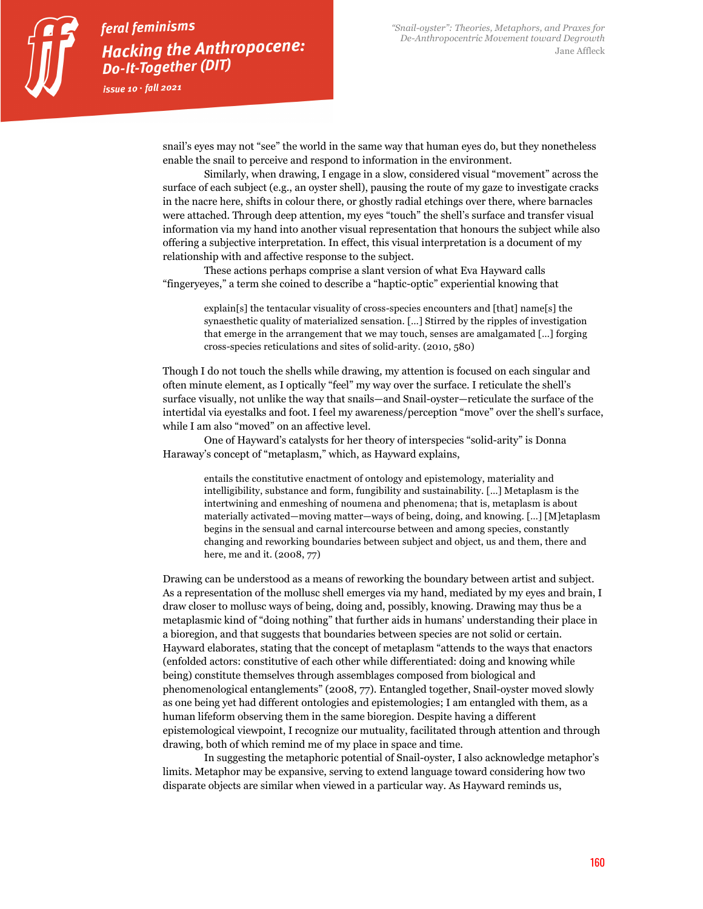issue  $10 \cdot \text{fall}$  2021

snail's eyes may not "see" the world in the same way that human eyes do, but they nonetheless enable the snail to perceive and respond to information in the environment.

Similarly, when drawing, I engage in a slow, considered visual "movement" across the surface of each subject (e.g., an oyster shell), pausing the route of my gaze to investigate cracks in the nacre here, shifts in colour there, or ghostly radial etchings over there, where barnacles were attached. Through deep attention, my eyes "touch" the shell's surface and transfer visual information via my hand into another visual representation that honours the subject while also offering a subjective interpretation. In effect, this visual interpretation is a document of my relationship with and affective response to the subject.

These actions perhaps comprise a slant version of what Eva Hayward calls "fingeryeyes," a term she coined to describe a "haptic-optic" experiential knowing that

> explain[s] the tentacular visuality of cross-species encounters and [that] name[s] the synaesthetic quality of materialized sensation. […] Stirred by the ripples of investigation that emerge in the arrangement that we may touch, senses are amalgamated […] forging cross-species reticulations and sites of solid-arity. (2010, 580)

Though I do not touch the shells while drawing, my attention is focused on each singular and often minute element, as I optically "feel" my way over the surface. I reticulate the shell's surface visually, not unlike the way that snails—and Snail-oyster—reticulate the surface of the intertidal via eyestalks and foot. I feel my awareness/perception "move" over the shell's surface, while I am also "moved" on an affective level.

One of Hayward's catalysts for her theory of interspecies "solid-arity" is Donna Haraway's concept of "metaplasm," which, as Hayward explains,

> entails the constitutive enactment of ontology and epistemology, materiality and intelligibility, substance and form, fungibility and sustainability. […] Metaplasm is the intertwining and enmeshing of noumena and phenomena; that is, metaplasm is about materially activated—moving matter—ways of being, doing, and knowing. […] [M]etaplasm begins in the sensual and carnal intercourse between and among species, constantly changing and reworking boundaries between subject and object, us and them, there and here, me and it. (2008, 77)

Drawing can be understood as a means of reworking the boundary between artist and subject. As a representation of the mollusc shell emerges via my hand, mediated by my eyes and brain, I draw closer to mollusc ways of being, doing and, possibly, knowing. Drawing may thus be a metaplasmic kind of "doing nothing" that further aids in humans' understanding their place in a bioregion, and that suggests that boundaries between species are not solid or certain. Hayward elaborates, stating that the concept of metaplasm "attends to the ways that enactors (enfolded actors: constitutive of each other while differentiated: doing and knowing while being) constitute themselves through assemblages composed from biological and phenomenological entanglements" (2008, 77). Entangled together, Snail-oyster moved slowly as one being yet had different ontologies and epistemologies; I am entangled with them, as a human lifeform observing them in the same bioregion. Despite having a different epistemological viewpoint, I recognize our mutuality, facilitated through attention and through drawing, both of which remind me of my place in space and time.

In suggesting the metaphoric potential of Snail-oyster, I also acknowledge metaphor's limits. Metaphor may be expansive, serving to extend language toward considering how two disparate objects are similar when viewed in a particular way. As Hayward reminds us,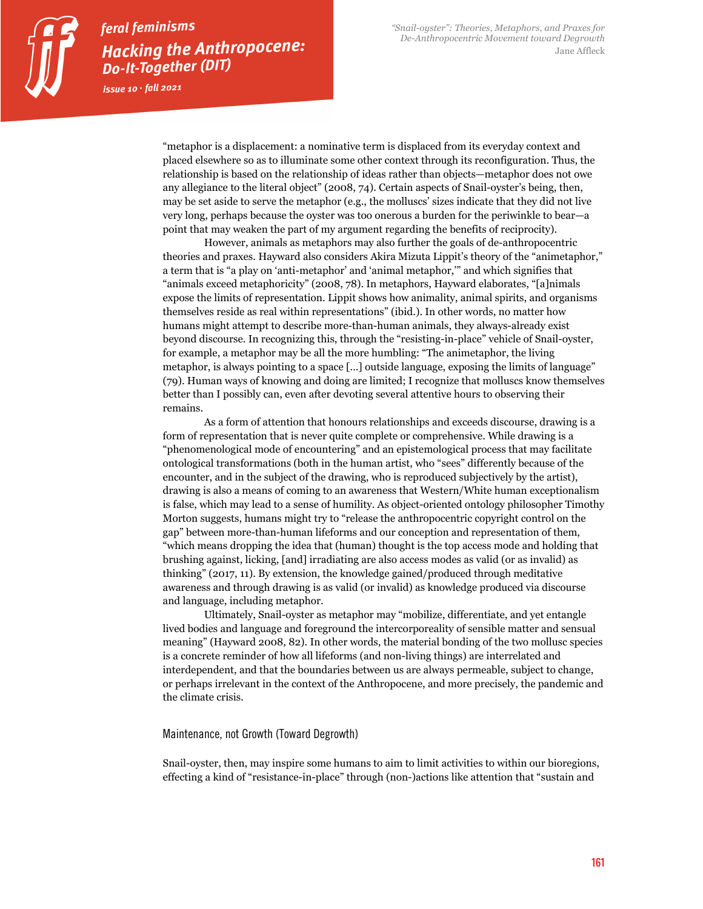issue  $10 \cdot \text{fall}$  2021

"metaphor is a displacement: a nominative term is displaced from its everyday context and placed elsewhere so as to illuminate some other context through its reconfiguration. Thus, the relationship is based on the relationship of ideas rather than objects—metaphor does not owe any allegiance to the literal object" (2008, 74). Certain aspects of Snail-oyster's being, then, may be set aside to serve the metaphor (e.g., the molluscs' sizes indicate that they did not live very long, perhaps because the oyster was too onerous a burden for the periwinkle to bear—a point that may weaken the part of my argument regarding the benefits of reciprocity).

However, animals as metaphors may also further the goals of de-anthropocentric theories and praxes. Hayward also considers Akira Mizuta Lippit's theory of the "animetaphor," a term that is "a play on 'anti-metaphor' and 'animal metaphor,'" and which signifies that "animals exceed metaphoricity" (2008, 78). In metaphors, Hayward elaborates, "[a]nimals expose the limits of representation. Lippit shows how animality, animal spirits, and organisms themselves reside as real within representations" (ibid.). In other words, no matter how humans might attempt to describe more-than-human animals, they always-already exist beyond discourse. In recognizing this, through the "resisting-in-place" vehicle of Snail-oyster, for example, a metaphor may be all the more humbling: "The animetaphor, the living metaphor, is always pointing to a space […] outside language, exposing the limits of language" (79). Human ways of knowing and doing are limited; I recognize that molluscs know themselves better than I possibly can, even after devoting several attentive hours to observing their remains.

As a form of attention that honours relationships and exceeds discourse, drawing is a form of representation that is never quite complete or comprehensive. While drawing is a "phenomenological mode of encountering" and an epistemological process that may facilitate ontological transformations (both in the human artist, who "sees" differently because of the encounter, and in the subject of the drawing, who is reproduced subjectively by the artist), drawing is also a means of coming to an awareness that Western/White human exceptionalism is false, which may lead to a sense of humility. As object-oriented ontology philosopher Timothy Morton suggests, humans might try to "release the anthropocentric copyright control on the gap" between more-than-human lifeforms and our conception and representation of them, "which means dropping the idea that (human) thought is the top access mode and holding that brushing against, licking, [and] irradiating are also access modes as valid (or as invalid) as thinking" (2017, 11). By extension, the knowledge gained/produced through meditative awareness and through drawing is as valid (or invalid) as knowledge produced via discourse and language, including metaphor.

Ultimately, Snail-oyster as metaphor may "mobilize, differentiate, and yet entangle lived bodies and language and foreground the intercorporeality of sensible matter and sensual meaning" (Hayward 2008, 82). In other words, the material bonding of the two mollusc species is a concrete reminder of how all lifeforms (and non-living things) are interrelated and interdependent, and that the boundaries between us are always permeable, subject to change, or perhaps irrelevant in the context of the Anthropocene, and more precisely, the pandemic and the climate crisis.

### Maintenance, not Growth (Toward Degrowth)

Snail-oyster, then, may inspire some humans to aim to limit activities to within our bioregions, effecting a kind of "resistance-in-place" through (non-)actions like attention that "sustain and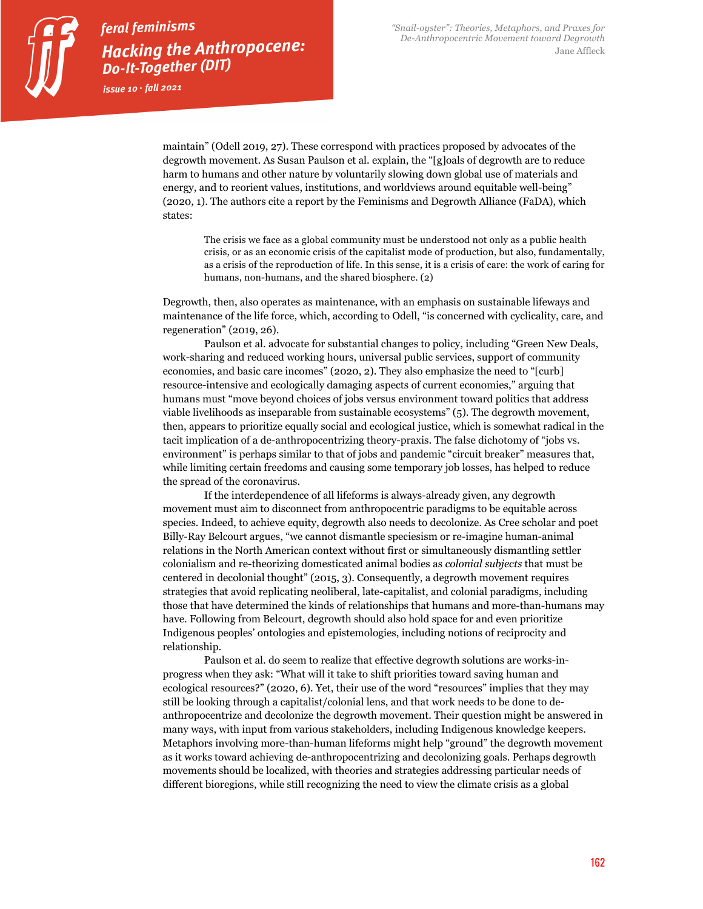issue  $10 \cdot \text{fall}$  2021

maintain" (Odell 2019, 27). These correspond with practices proposed by advocates of the degrowth movement. As Susan Paulson et al. explain, the "[g]oals of degrowth are to reduce harm to humans and other nature by voluntarily slowing down global use of materials and energy, and to reorient values, institutions, and worldviews around equitable well-being" (2020, 1). The authors cite a report by the Feminisms and Degrowth Alliance (FaDA), which states:

The crisis we face as a global community must be understood not only as a public health crisis, or as an economic crisis of the capitalist mode of production, but also, fundamentally, as a crisis of the reproduction of life. In this sense, it is a crisis of care: the work of caring for humans, non-humans, and the shared biosphere. (2)

Degrowth, then, also operates as maintenance, with an emphasis on sustainable lifeways and maintenance of the life force, which, according to Odell, "is concerned with cyclicality, care, and regeneration" (2019, 26).

Paulson et al. advocate for substantial changes to policy, including "Green New Deals, work-sharing and reduced working hours, universal public services, support of community economies, and basic care incomes" (2020, 2). They also emphasize the need to "[curb] resource-intensive and ecologically damaging aspects of current economies," arguing that humans must "move beyond choices of jobs versus environment toward politics that address viable livelihoods as inseparable from sustainable ecosystems" (5). The degrowth movement, then, appears to prioritize equally social and ecological justice, which is somewhat radical in the tacit implication of a de-anthropocentrizing theory-praxis. The false dichotomy of "jobs vs. environment" is perhaps similar to that of jobs and pandemic "circuit breaker" measures that, while limiting certain freedoms and causing some temporary job losses, has helped to reduce the spread of the coronavirus.

If the interdependence of all lifeforms is always-already given, any degrowth movement must aim to disconnect from anthropocentric paradigms to be equitable across species. Indeed, to achieve equity, degrowth also needs to decolonize. As Cree scholar and poet Billy-Ray Belcourt argues, "we cannot dismantle speciesism or re-imagine human-animal relations in the North American context without first or simultaneously dismantling settler colonialism and re-theorizing domesticated animal bodies as *colonial subjects* that must be centered in decolonial thought" (2015, 3). Consequently, a degrowth movement requires strategies that avoid replicating neoliberal, late-capitalist, and colonial paradigms, including those that have determined the kinds of relationships that humans and more-than-humans may have. Following from Belcourt, degrowth should also hold space for and even prioritize Indigenous peoples' ontologies and epistemologies, including notions of reciprocity and relationship.

Paulson et al. do seem to realize that effective degrowth solutions are works-inprogress when they ask: "What will it take to shift priorities toward saving human and ecological resources?" (2020, 6). Yet, their use of the word "resources" implies that they may still be looking through a capitalist/colonial lens, and that work needs to be done to deanthropocentrize and decolonize the degrowth movement. Their question might be answered in many ways, with input from various stakeholders, including Indigenous knowledge keepers. Metaphors involving more-than-human lifeforms might help "ground" the degrowth movement as it works toward achieving de-anthropocentrizing and decolonizing goals. Perhaps degrowth movements should be localized, with theories and strategies addressing particular needs of different bioregions, while still recognizing the need to view the climate crisis as a global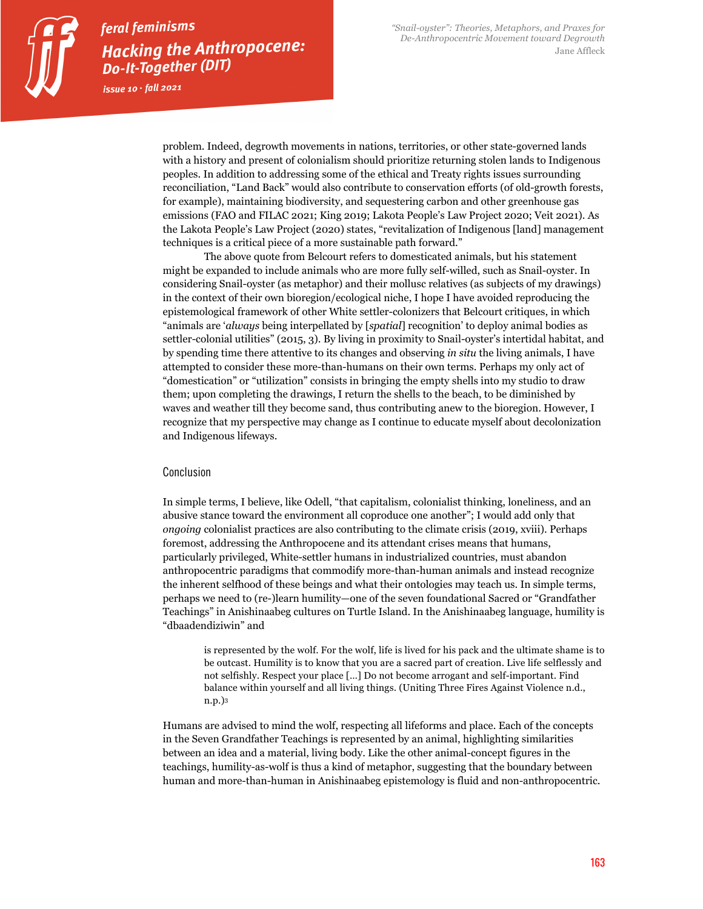issue  $10 \cdot \text{fall}$  2021

problem. Indeed, degrowth movements in nations, territories, or other state-governed lands with a history and present of colonialism should prioritize returning stolen lands to Indigenous peoples. In addition to addressing some of the ethical and Treaty rights issues surrounding reconciliation, "Land Back" would also contribute to conservation efforts (of old-growth forests, for example), maintaining biodiversity, and sequestering carbon and other greenhouse gas emissions (FAO and FILAC 2021; King 2019; Lakota People's Law Project 2020; Veit 2021). As the Lakota People's Law Project (2020) states, "revitalization of Indigenous [land] management techniques is a critical piece of a more sustainable path forward."

The above quote from Belcourt refers to domesticated animals, but his statement might be expanded to include animals who are more fully self-willed, such as Snail-oyster. In considering Snail-oyster (as metaphor) and their mollusc relatives (as subjects of my drawings) in the context of their own bioregion/ecological niche, I hope I have avoided reproducing the epistemological framework of other White settler-colonizers that Belcourt critiques, in which "animals are '*always* being interpellated by [*spatial*] recognition' to deploy animal bodies as settler-colonial utilities" (2015, 3). By living in proximity to Snail-oyster's intertidal habitat, and by spending time there attentive to its changes and observing *in situ* the living animals, I have attempted to consider these more-than-humans on their own terms. Perhaps my only act of "domestication" or "utilization" consists in bringing the empty shells into my studio to draw them; upon completing the drawings, I return the shells to the beach, to be diminished by waves and weather till they become sand, thus contributing anew to the bioregion. However, I recognize that my perspective may change as I continue to educate myself about decolonization and Indigenous lifeways.

#### Conclusion

In simple terms, I believe, like Odell, "that capitalism, colonialist thinking, loneliness, and an abusive stance toward the environment all coproduce one another"; I would add only that *ongoing* colonialist practices are also contributing to the climate crisis (2019, xviii). Perhaps foremost, addressing the Anthropocene and its attendant crises means that humans, particularly privileged, White-settler humans in industrialized countries, must abandon anthropocentric paradigms that commodify more-than-human animals and instead recognize the inherent selfhood of these beings and what their ontologies may teach us. In simple terms, perhaps we need to (re-)learn humility—one of the seven foundational Sacred or "Grandfather Teachings" in Anishinaabeg cultures on Turtle Island. In the Anishinaabeg language, humility is "dbaadendiziwin" and

is represented by the wolf. For the wolf, life is lived for his pack and the ultimate shame is to be outcast. Humility is to know that you are a sacred part of creation. Live life selflessly and not selfishly. Respect your place […] Do not become arrogant and self-important. Find balance within yourself and all living things. (Uniting Three Fires Against Violence n.d., n.p.)3

Humans are advised to mind the wolf, respecting all lifeforms and place. Each of the concepts in the Seven Grandfather Teachings is represented by an animal, highlighting similarities between an idea and a material, living body. Like the other animal-concept figures in the teachings, humility-as-wolf is thus a kind of metaphor, suggesting that the boundary between human and more-than-human in Anishinaabeg epistemology is fluid and non-anthropocentric.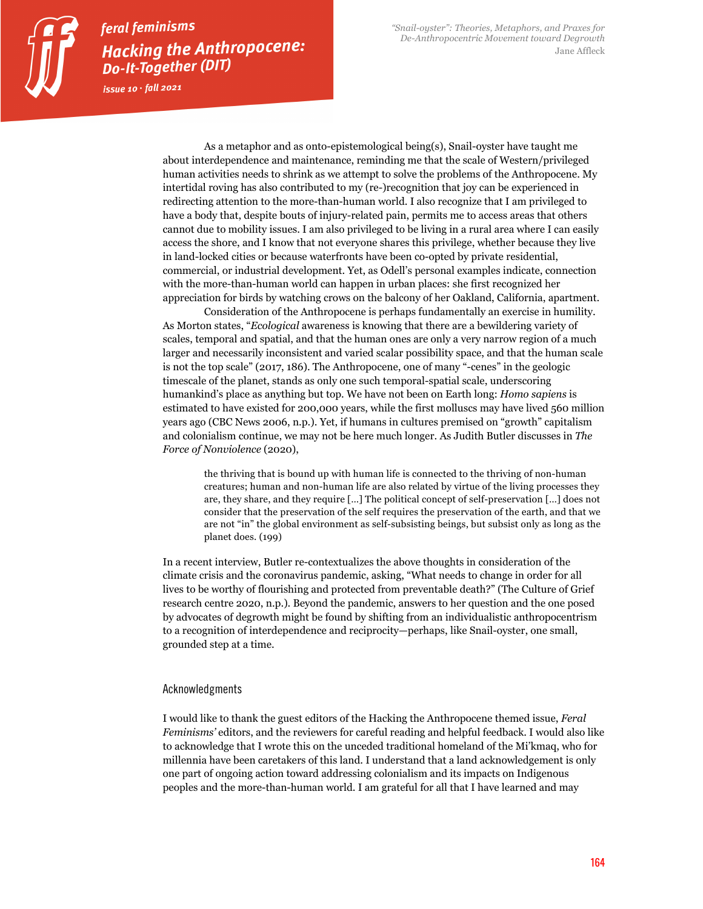issue  $10 \cdot \text{fall}$  2021

As a metaphor and as onto-epistemological being(s), Snail-oyster have taught me about interdependence and maintenance, reminding me that the scale of Western/privileged human activities needs to shrink as we attempt to solve the problems of the Anthropocene. My intertidal roving has also contributed to my (re-)recognition that joy can be experienced in redirecting attention to the more-than-human world. I also recognize that I am privileged to have a body that, despite bouts of injury-related pain, permits me to access areas that others cannot due to mobility issues. I am also privileged to be living in a rural area where I can easily access the shore, and I know that not everyone shares this privilege, whether because they live in land-locked cities or because waterfronts have been co-opted by private residential, commercial, or industrial development. Yet, as Odell's personal examples indicate, connection with the more-than-human world can happen in urban places: she first recognized her appreciation for birds by watching crows on the balcony of her Oakland, California, apartment.

Consideration of the Anthropocene is perhaps fundamentally an exercise in humility. As Morton states, "*Ecological* awareness is knowing that there are a bewildering variety of scales, temporal and spatial, and that the human ones are only a very narrow region of a much larger and necessarily inconsistent and varied scalar possibility space, and that the human scale is not the top scale" (2017, 186). The Anthropocene, one of many "-cenes" in the geologic timescale of the planet, stands as only one such temporal-spatial scale, underscoring humankind's place as anything but top. We have not been on Earth long: *Homo sapiens* is estimated to have existed for 200,000 years, while the first molluscs may have lived 560 million years ago (CBC News 2006, n.p.). Yet, if humans in cultures premised on "growth" capitalism and colonialism continue, we may not be here much longer. As Judith Butler discusses in *The Force of Nonviolence* (2020),

the thriving that is bound up with human life is connected to the thriving of non-human creatures; human and non-human life are also related by virtue of the living processes they are, they share, and they require […] The political concept of self-preservation […] does not consider that the preservation of the self requires the preservation of the earth, and that we are not "in" the global environment as self-subsisting beings, but subsist only as long as the planet does. (199)

In a recent interview, Butler re-contextualizes the above thoughts in consideration of the climate crisis and the coronavirus pandemic, asking, "What needs to change in order for all lives to be worthy of flourishing and protected from preventable death?" (The Culture of Grief research centre 2020, n.p.). Beyond the pandemic, answers to her question and the one posed by advocates of degrowth might be found by shifting from an individualistic anthropocentrism to a recognition of interdependence and reciprocity—perhaps, like Snail-oyster, one small, grounded step at a time.

#### Acknowledgments

I would like to thank the guest editors of the Hacking the Anthropocene themed issue, *Feral Feminisms'* editors, and the reviewers for careful reading and helpful feedback. I would also like to acknowledge that I wrote this on the unceded traditional homeland of the Mi'kmaq, who for millennia have been caretakers of this land. I understand that a land acknowledgement is only one part of ongoing action toward addressing colonialism and its impacts on Indigenous peoples and the more-than-human world. I am grateful for all that I have learned and may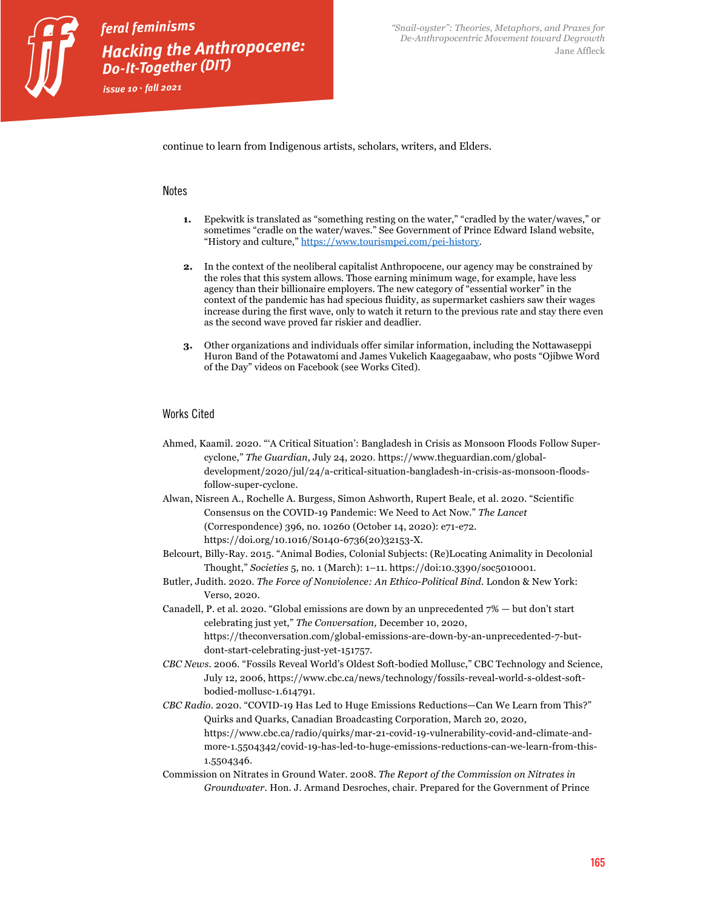

feral feminisms Hacking the Anthropocene: **Do-It-Together (DIT)** issue  $10 \cdot \text{fall}$  2021

continue to learn from Indigenous artists, scholars, writers, and Elders.

#### **Notes**

- **1.** Epekwitk is translated as "something resting on the water," "cradled by the water/waves," or sometimes "cradle on the water/waves." See Government of Prince Edward Island website, "History and culture," https://www.tourismpei.com/pei-history.
- **2.** In the context of the neoliberal capitalist Anthropocene, our agency may be constrained by the roles that this system allows. Those earning minimum wage, for example, have less agency than their billionaire employers. The new category of "essential worker" in the context of the pandemic has had specious fluidity, as supermarket cashiers saw their wages increase during the first wave, only to watch it return to the previous rate and stay there even as the second wave proved far riskier and deadlier.
- **3.** Other organizations and individuals offer similar information, including the Nottawaseppi Huron Band of the Potawatomi and James Vukelich Kaagegaabaw, who posts "Ojibwe Word of the Day" videos on Facebook (see Works Cited).

#### Works Cited

- Ahmed, Kaamil. 2020. "'A Critical Situation': Bangladesh in Crisis as Monsoon Floods Follow Supercyclone," *The Guardian*, July 24, 2020. https://www.theguardian.com/globaldevelopment/2020/jul/24/a-critical-situation-bangladesh-in-crisis-as-monsoon-floodsfollow-super-cyclone.
- Alwan, Nisreen A., Rochelle A. Burgess, Simon Ashworth, Rupert Beale, et al. 2020. "Scientific Consensus on the COVID-19 Pandemic: We Need to Act Now." *The Lancet* (Correspondence) 396, no. 10260 (October 14, 2020): e71-e72. https://doi.org/10.1016/S0140-6736(20)32153-X.
- Belcourt, Billy-Ray. 2015. "Animal Bodies, Colonial Subjects: (Re)Locating Animality in Decolonial Thought," *Societies* 5, no. 1 (March): 1–11. https://doi:10.3390/soc5010001.
- Butler, Judith. 2020. *The Force of Nonviolence: An Ethico-Political Bind*. London & New York: Verso, 2020.
- Canadell, P. et al. 2020. "Global emissions are down by an unprecedented 7% but don't start celebrating just yet," *The Conversation,* December 10, 2020, https://theconversation.com/global-emissions-are-down-by-an-unprecedented-7-butdont-start-celebrating-just-yet-151757.
- *CBC News*. 2006. "Fossils Reveal World's Oldest Soft-bodied Mollusc," CBC Technology and Science, July 12, 2006, https://www.cbc.ca/news/technology/fossils-reveal-world-s-oldest-softbodied-mollusc-1.614791.
- *CBC Radio*. 2020. "COVID-19 Has Led to Huge Emissions Reductions—Can We Learn from This?" Quirks and Quarks, Canadian Broadcasting Corporation, March 20, 2020, https://www.cbc.ca/radio/quirks/mar-21-covid-19-vulnerability-covid-and-climate-andmore-1.5504342/covid-19-has-led-to-huge-emissions-reductions-can-we-learn-from-this-1.5504346.
- Commission on Nitrates in Ground Water. 2008. *The Report of the Commission on Nitrates in Groundwater*. Hon. J. Armand Desroches, chair. Prepared for the Government of Prince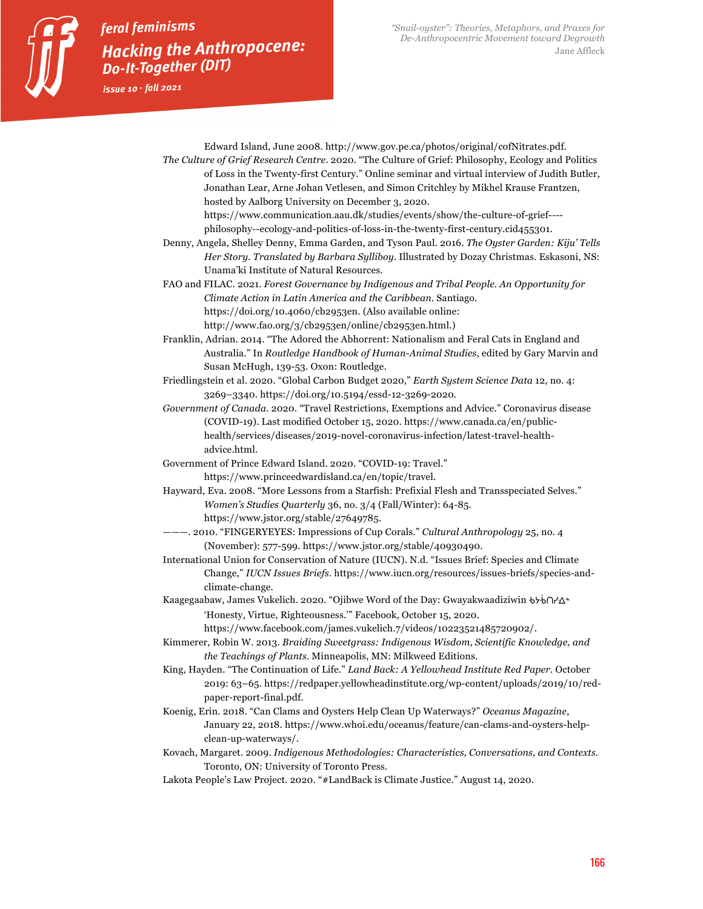

issue  $10 \cdot \text{fall}$  2021

Edward Island, June 2008. http://www.gov.pe.ca/photos/original/cofNitrates.pdf. *The Culture of Grief Research Centre*. 2020. "The Culture of Grief: Philosophy, Ecology and Politics of Loss in the Twenty-first Century." Online seminar and virtual interview of Judith Butler, Jonathan Lear, Arne Johan Vetlesen, and Simon Critchley by Mikhel Krause Frantzen, hosted by Aalborg University on December 3, 2020.

https://www.communication.aau.dk/studies/events/show/the-culture-of-grief--- philosophy--ecology-and-politics-of-loss-in-the-twenty-first-century.cid455301.

Denny, Angela, Shelley Denny, Emma Garden, and Tyson Paul. 2016. *The Oyster Garden: Kiju' Tells Her Story. Translated by Barbara Sylliboy*. Illustrated by Dozay Christmas. Eskasoni, NS: Unama'ki Institute of Natural Resources.

FAO and FILAC. 2021. *Forest Governance by Indigenous and Tribal People. An Opportunity for Climate Action in Latin America and the Caribbean.* Santiago. https://doi.org/10.4060/cb2953en. (Also available online: http://www.fao.org/3/cb2953en/online/cb2953en.html.)

Franklin, Adrian. 2014. "The Adored the Abhorrent: Nationalism and Feral Cats in England and Australia." In *Routledge Handbook of Human-Animal Studies*, edited by Gary Marvin and Susan McHugh, 139-53. Oxon: Routledge.

Friedlingstein et al. 2020. "Global Carbon Budget 2020," *Earth System Science Data* 12, no. 4: 3269–3340. https://doi.org/10.5194/essd-12-3269-2020.

*Government of Canada*. 2020. "Travel Restrictions, Exemptions and Advice." Coronavirus disease (COVID-19). Last modified October 15, 2020. https://www.canada.ca/en/publichealth/services/diseases/2019-novel-coronavirus-infection/latest-travel-healthadvice.html.

Government of Prince Edward Island. 2020. "COVID-19: Travel." https://www.princeedwardisland.ca/en/topic/travel.

Hayward, Eva. 2008. "More Lessons from a Starfish: Prefixial Flesh and Transspeciated Selves." *Women's Studies Quarterly* 36, no. 3/4 (Fall/Winter): 64-85. https://www.jstor.org/stable/27649785.

———. 2010. "FINGERYEYES: Impressions of Cup Corals." *Cultural Anthropology* 25, no. 4 (November): 577-599. https://www.jstor.org/stable/40930490.

International Union for Conservation of Nature (IUCN). N.d. "Issues Brief: Species and Climate Change," *IUCN Issues Briefs*. https://www.iucn.org/resources/issues-briefs/species-andclimate-change.

Kaagegaabaw, James Vukelich. 2020. "Ojibwe Word of the Day: Gwayakwaadiziwin bybol? $\Delta^*$ 'Honesty, Virtue, Righteousness.'" Facebook, October 15, 2020.

https://www.facebook.com/james.vukelich.7/videos/10223521485720902/.

Kimmerer, Robin W. 2013. *Braiding Sweetgrass: Indigenous Wisdom, Scientific Knowledge, and the Teachings of Plants*. Minneapolis, MN: Milkweed Editions.

King, Hayden. "The Continuation of Life." *Land Back: A Yellowhead Institute Red Paper.* October 2019: 63–65. https://redpaper.yellowheadinstitute.org/wp-content/uploads/2019/10/redpaper-report-final.pdf.

Koenig, Erin. 2018. "Can Clams and Oysters Help Clean Up Waterways?" *Oceanus Magazine*, January 22, 2018. https://www.whoi.edu/oceanus/feature/can-clams-and-oysters-helpclean-up-waterways/.

Kovach, Margaret. 2009. *Indigenous Methodologies: Characteristics, Conversations, and Contexts.* Toronto, ON: University of Toronto Press.

Lakota People's Law Project. 2020. "#LandBack is Climate Justice." August 14, 2020.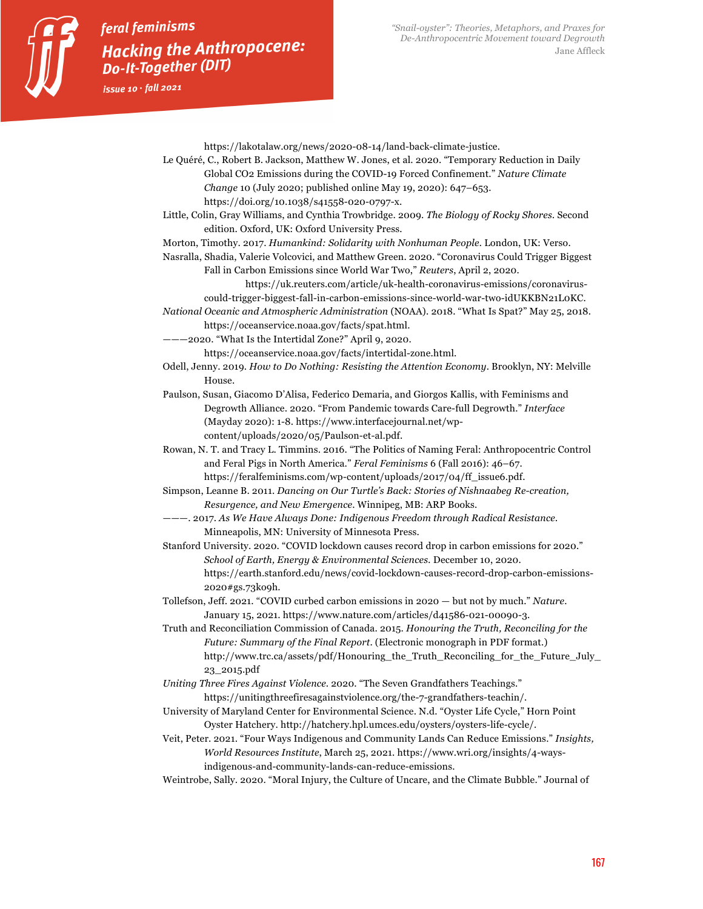https://lakotalaw.org/news/2020-08-14/land-back-climate-justice.

- Le Quéré, C., Robert B. Jackson, Matthew W. Jones, et al. 2020. "Temporary Reduction in Daily Global CO2 Emissions during the COVID-19 Forced Confinement." *Nature Climate Change* 10 (July 2020; published online May 19, 2020): 647–653. https://doi.org/10.1038/s41558-020-0797-x.
- Little, Colin, Gray Williams, and Cynthia Trowbridge. 2009. *The Biology of Rocky Shores.* Second edition. Oxford, UK: Oxford University Press.
- Morton, Timothy. 2017. *Humankind: Solidarity with Nonhuman People.* London, UK: Verso.
- Nasralla, Shadia, Valerie Volcovici, and Matthew Green. 2020. "Coronavirus Could Trigger Biggest Fall in Carbon Emissions since World War Two," *Reuters*, April 2, 2020.
	- https://uk.reuters.com/article/uk-health-coronavirus-emissions/coronaviruscould-trigger-biggest-fall-in-carbon-emissions-since-world-war-two-idUKKBN21L0KC.
- *National Oceanic and Atmospheric Administration* (NOAA). 2018. "What Is Spat?" May 25, 2018. https://oceanservice.noaa.gov/facts/spat.html.
- ———2020. "What Is the Intertidal Zone?" April 9, 2020. https://oceanservice.noaa.gov/facts/intertidal-zone.html.
- Odell, Jenny. 2019. *How to Do Nothing: Resisting the Attention Economy*. Brooklyn, NY: Melville House.
- Paulson, Susan, Giacomo D'Alisa, Federico Demaria, and Giorgos Kallis, with Feminisms and Degrowth Alliance. 2020. "From Pandemic towards Care-full Degrowth." *Interface* (Mayday 2020): 1-8. https://www.interfacejournal.net/wpcontent/uploads/2020/05/Paulson-et-al.pdf.
- Rowan, N. T. and Tracy L. Timmins. 2016. "The Politics of Naming Feral: Anthropocentric Control and Feral Pigs in North America." *Feral Feminisms* 6 (Fall 2016): 46–67. https://feralfeminisms.com/wp-content/uploads/2017/04/ff\_issue6.pdf.
- Simpson, Leanne B. 2011. *Dancing on Our Turtle's Back: Stories of Nishnaabeg Re-creation, Resurgence, and New Emergence*. Winnipeg, MB: ARP Books.
- ———. 2017. *As We Have Always Done: Indigenous Freedom through Radical Resistance.* Minneapolis, MN: University of Minnesota Press.
- Stanford University. 2020. "COVID lockdown causes record drop in carbon emissions for 2020." *School of Earth, Energy & Environmental Sciences.* December 10, 2020. https://earth.stanford.edu/news/covid-lockdown-causes-record-drop-carbon-emissions-2020#gs.73ko9h.
- Tollefson, Jeff. 2021. "COVID curbed carbon emissions in 2020 but not by much." *Nature*. January 15, 2021. https://www.nature.com/articles/d41586-021-00090-3.
- Truth and Reconciliation Commission of Canada. 2015. *Honouring the Truth, Reconciling for the Future: Summary of the Final Report*. (Electronic monograph in PDF format.) http://www.trc.ca/assets/pdf/Honouring\_the\_Truth\_Reconciling\_for\_the\_Future\_July\_ 23\_2015.pdf
- *Uniting Three Fires Against Violence*. 2020. "The Seven Grandfathers Teachings." https://unitingthreefiresagainstviolence.org/the-7-grandfathers-teachin/.
- University of Maryland Center for Environmental Science. N.d. "Oyster Life Cycle," Horn Point Oyster Hatchery. http://hatchery.hpl.umces.edu/oysters/oysters-life-cycle/.
- Veit, Peter. 2021. "Four Ways Indigenous and Community Lands Can Reduce Emissions." *Insights, World Resources Institute*, March 25, 2021. https://www.wri.org/insights/4-waysindigenous-and-community-lands-can-reduce-emissions.
- Weintrobe, Sally. 2020. "Moral Injury, the Culture of Uncare, and the Climate Bubble." Journal of